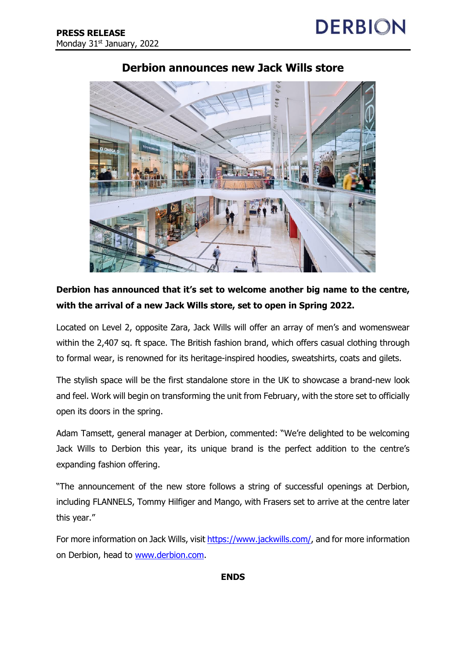

## **Derbion announces new Jack Wills store**

## **Derbion has announced that it's set to welcome another big name to the centre, with the arrival of a new Jack Wills store, set to open in Spring 2022.**

Located on Level 2, opposite Zara, Jack Wills will offer an array of men's and womenswear within the 2,407 sq. ft space. The British fashion brand, which offers casual clothing through to formal wear, is renowned for its heritage-inspired hoodies, sweatshirts, coats and gilets.

The stylish space will be the first standalone store in the UK to showcase a brand-new look and feel. Work will begin on transforming the unit from February, with the store set to officially open its doors in the spring.

Adam Tamsett, general manager at Derbion, commented: "We're delighted to be welcoming Jack Wills to Derbion this year, its unique brand is the perfect addition to the centre's expanding fashion offering.

"The announcement of the new store follows a string of successful openings at Derbion, including FLANNELS, Tommy Hilfiger and Mango, with Frasers set to arrive at the centre later this year."

For more information on Jack Wills, visit [https://www.jackwills.com/,](https://www.jackwills.com/) and for more information on Derbion, head to [www.derbion.com.](file:///C:/Users/Ely/Downloads/www.derbion.com)